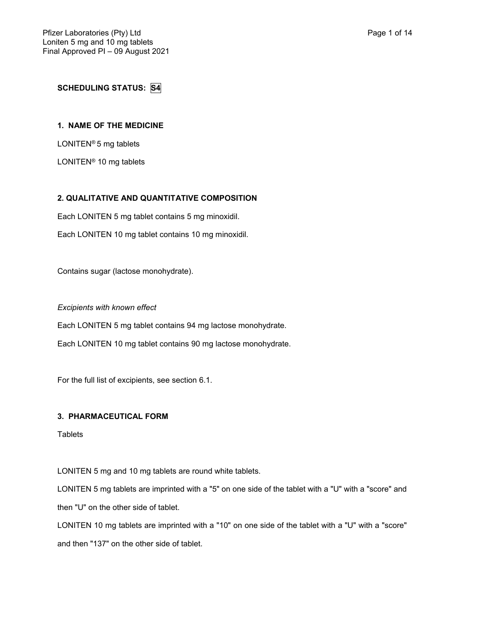# **SCHEDULING STATUS: S4**

## **1. NAME OF THE MEDICINE**

LONITEN® 5 mg tablets

LONITEN® 10 mg tablets

## **2. QUALITATIVE AND QUANTITATIVE COMPOSITION**

Each LONITEN 5 mg tablet contains 5 mg minoxidil.

Each LONITEN 10 mg tablet contains 10 mg minoxidil.

Contains sugar (lactose monohydrate).

*Excipients with known effect*

Each LONITEN 5 mg tablet contains 94 mg lactose monohydrate.

Each LONITEN 10 mg tablet contains 90 mg lactose monohydrate.

For the full list of excipients, see section 6.1.

#### **3. PHARMACEUTICAL FORM**

**Tablets** 

LONITEN 5 mg and 10 mg tablets are round white tablets.

LONITEN 5 mg tablets are imprinted with a "5" on one side of the tablet with a "U" with a "score" and then "U" on the other side of tablet.

LONITEN 10 mg tablets are imprinted with a "10" on one side of the tablet with a "U" with a "score" and then "137" on the other side of tablet.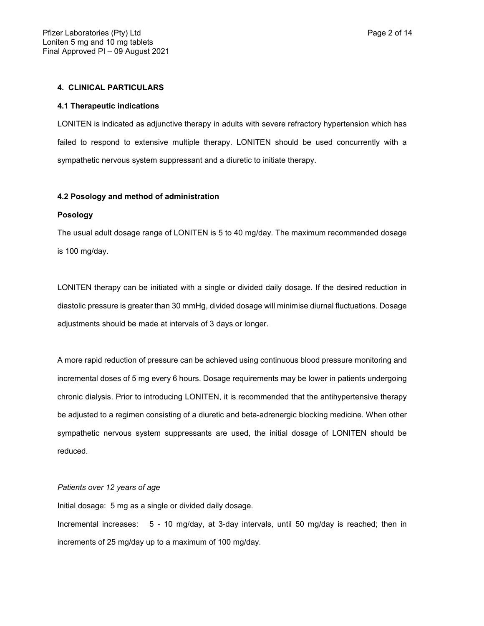## **4. CLINICAL PARTICULARS**

#### **4.1 Therapeutic indications**

LONITEN is indicated as adjunctive therapy in adults with severe refractory hypertension which has failed to respond to extensive multiple therapy. LONITEN should be used concurrently with a sympathetic nervous system suppressant and a diuretic to initiate therapy.

#### **4.2 Posology and method of administration**

#### **Posology**

The usual adult dosage range of LONITEN is 5 to 40 mg/day. The maximum recommended dosage is 100 mg/day.

LONITEN therapy can be initiated with a single or divided daily dosage. If the desired reduction in diastolic pressure is greater than 30 mmHg, divided dosage will minimise diurnal fluctuations. Dosage adjustments should be made at intervals of 3 days or longer.

A more rapid reduction of pressure can be achieved using continuous blood pressure monitoring and incremental doses of 5 mg every 6 hours. Dosage requirements may be lower in patients undergoing chronic dialysis. Prior to introducing LONITEN, it is recommended that the antihypertensive therapy be adjusted to a regimen consisting of a diuretic and beta-adrenergic blocking medicine. When other sympathetic nervous system suppressants are used, the initial dosage of LONITEN should be reduced.

#### *Patients over 12 years of age*

Initial dosage: 5 mg as a single or divided daily dosage.

Incremental increases:5 - 10 mg/day, at 3-day intervals, until 50 mg/day is reached; then in increments of 25 mg/day up to a maximum of 100 mg/day.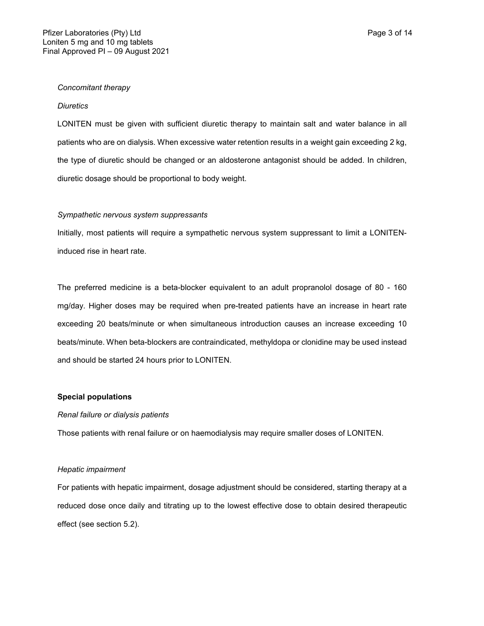## *Concomitant therapy*

#### *Diuretics*

LONITEN must be given with sufficient diuretic therapy to maintain salt and water balance in all patients who are on dialysis. When excessive water retention results in a weight gain exceeding 2 kg, the type of diuretic should be changed or an aldosterone antagonist should be added. In children, diuretic dosage should be proportional to body weight.

#### *Sympathetic nervous system suppressants*

Initially, most patients will require a sympathetic nervous system suppressant to limit a LONITENinduced rise in heart rate.

The preferred medicine is a beta-blocker equivalent to an adult propranolol dosage of 80 - 160 mg/day. Higher doses may be required when pre-treated patients have an increase in heart rate exceeding 20 beats/minute or when simultaneous introduction causes an increase exceeding 10 beats/minute. When beta-blockers are contraindicated, methyldopa or clonidine may be used instead and should be started 24 hours prior to LONITEN.

## **Special populations**

#### *Renal failure or dialysis patients*

Those patients with renal failure or on haemodialysis may require smaller doses of LONITEN.

#### *Hepatic impairment*

For patients with hepatic impairment, dosage adjustment should be considered, starting therapy at a reduced dose once daily and titrating up to the lowest effective dose to obtain desired therapeutic effect (see section 5.2).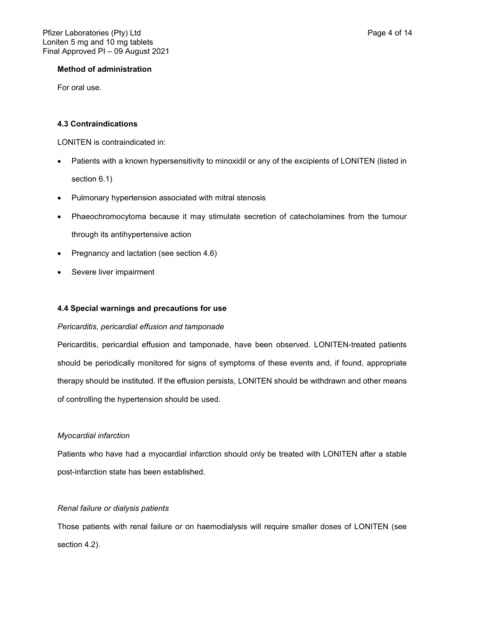## **Method of administration**

For oral use.

## **4.3 Contraindications**

LONITEN is contraindicated in:

- Patients with a known hypersensitivity to minoxidil or any of the excipients of LONITEN (listed in section 6.1)
- Pulmonary hypertension associated with mitral stenosis
- Phaeochromocytoma because it may stimulate secretion of catecholamines from the tumour through its antihypertensive action
- Pregnancy and lactation (see section 4.6)
- Severe liver impairment

## **4.4 Special warnings and precautions for use**

## *Pericarditis, pericardial effusion and tamponade*

Pericarditis, pericardial effusion and tamponade, have been observed. LONITEN-treated patients should be periodically monitored for signs of symptoms of these events and, if found, appropriate therapy should be instituted. If the effusion persists, LONITEN should be withdrawn and other means of controlling the hypertension should be used.

## *Myocardial infarction*

Patients who have had a myocardial infarction should only be treated with LONITEN after a stable post-infarction state has been established.

## *Renal failure or dialysis patients*

Those patients with renal failure or on haemodialysis will require smaller doses of LONITEN (see section 4.2).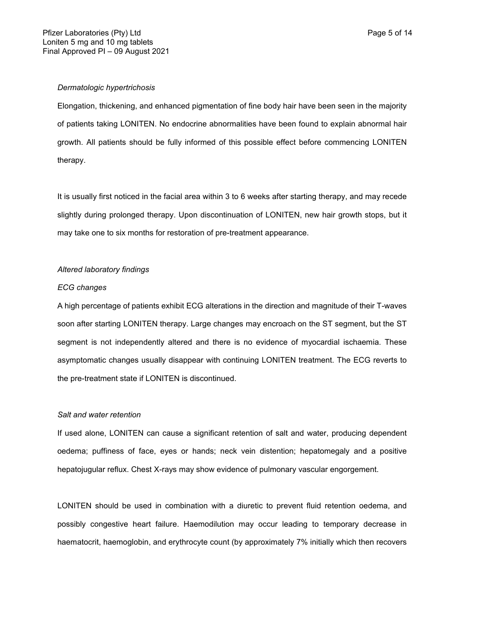Elongation, thickening, and enhanced pigmentation of fine body hair have been seen in the majority of patients taking LONITEN. No endocrine abnormalities have been found to explain abnormal hair growth. All patients should be fully informed of this possible effect before commencing LONITEN therapy.

It is usually first noticed in the facial area within 3 to 6 weeks after starting therapy, and may recede slightly during prolonged therapy. Upon discontinuation of LONITEN, new hair growth stops, but it may take one to six months for restoration of pre-treatment appearance.

## *Altered laboratory findings*

#### *ECG changes*

A high percentage of patients exhibit ECG alterations in the direction and magnitude of their T-waves soon after starting LONITEN therapy. Large changes may encroach on the ST segment, but the ST segment is not independently altered and there is no evidence of myocardial ischaemia. These asymptomatic changes usually disappear with continuing LONITEN treatment. The ECG reverts to the pre-treatment state if LONITEN is discontinued.

#### *Salt and water retention*

If used alone, LONITEN can cause a significant retention of salt and water, producing dependent oedema; puffiness of face, eyes or hands; neck vein distention; hepatomegaly and a positive hepatojugular reflux. Chest X-rays may show evidence of pulmonary vascular engorgement.

LONITEN should be used in combination with a diuretic to prevent fluid retention oedema, and possibly congestive heart failure. Haemodilution may occur leading to temporary decrease in haematocrit, haemoglobin, and erythrocyte count (by approximately 7% initially which then recovers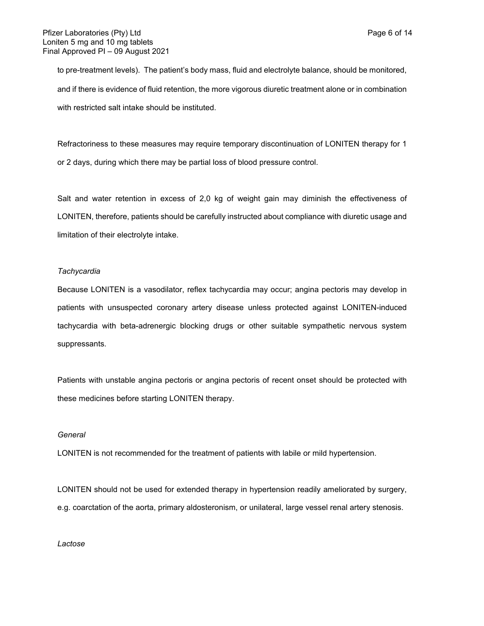to pre-treatment levels). The patient's body mass, fluid and electrolyte balance, should be monitored, and if there is evidence of fluid retention, the more vigorous diuretic treatment alone or in combination with restricted salt intake should be instituted.

Refractoriness to these measures may require temporary discontinuation of LONITEN therapy for 1 or 2 days, during which there may be partial loss of blood pressure control.

Salt and water retention in excess of 2,0 kg of weight gain may diminish the effectiveness of LONITEN, therefore, patients should be carefully instructed about compliance with diuretic usage and limitation of their electrolyte intake.

## *Tachycardia*

Because LONITEN is a vasodilator, reflex tachycardia may occur; angina pectoris may develop in patients with unsuspected coronary artery disease unless protected against LONITEN-induced tachycardia with beta-adrenergic blocking drugs or other suitable sympathetic nervous system suppressants.

Patients with unstable angina pectoris or angina pectoris of recent onset should be protected with these medicines before starting LONITEN therapy.

#### *General*

LONITEN is not recommended for the treatment of patients with labile or mild hypertension.

LONITEN should not be used for extended therapy in hypertension readily ameliorated by surgery, e.g. coarctation of the aorta, primary aldosteronism, or unilateral, large vessel renal artery stenosis.

*Lactose*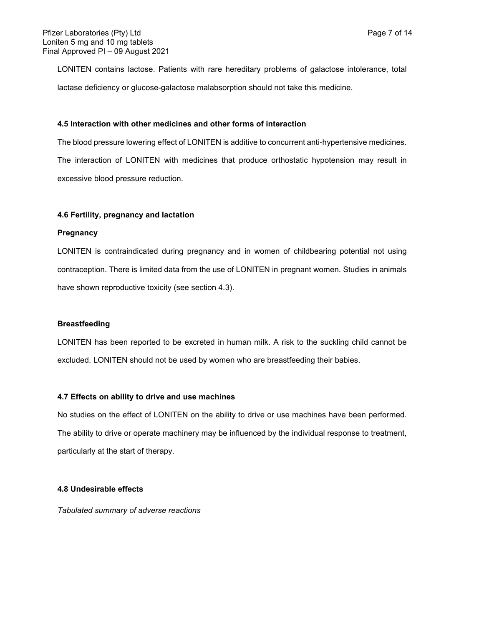LONITEN contains lactose. Patients with rare hereditary problems of galactose intolerance, total lactase deficiency or glucose-galactose malabsorption should not take this medicine.

## **4.5 Interaction with other medicines and other forms of interaction**

The blood pressure lowering effect of LONITEN is additive to concurrent anti-hypertensive medicines. The interaction of LONITEN with medicines that produce orthostatic hypotension may result in excessive blood pressure reduction.

## **4.6 Fertility, pregnancy and lactation**

#### **Pregnancy**

LONITEN is contraindicated during pregnancy and in women of childbearing potential not using contraception. There is limited data from the use of LONITEN in pregnant women. Studies in animals have shown reproductive toxicity (see section 4.3).

## **Breastfeeding**

LONITEN has been reported to be excreted in human milk. A risk to the suckling child cannot be excluded. LONITEN should not be used by women who are breastfeeding their babies.

## **4.7 Effects on ability to drive and use machines**

No studies on the effect of LONITEN on the ability to drive or use machines have been performed. The ability to drive or operate machinery may be influenced by the individual response to treatment, particularly at the start of therapy.

## **4.8 Undesirable effects**

*Tabulated summary of adverse reactions*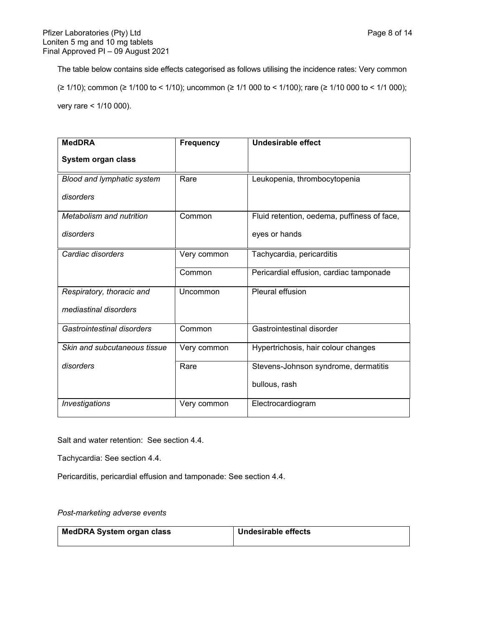The table below contains side effects categorised as follows utilising the incidence rates: Very common (≥ 1/10); common (≥ 1/100 to < 1/10); uncommon (≥ 1/1 000 to < 1/100); rare (≥ 1/10 000 to < 1/1 000);

very rare < 1/10 000).

| <b>MedDRA</b>                     | <b>Frequency</b> | <b>Undesirable effect</b>                   |
|-----------------------------------|------------------|---------------------------------------------|
| System organ class                |                  |                                             |
| <b>Blood and lymphatic system</b> | Rare             | Leukopenia, thrombocytopenia                |
| disorders                         |                  |                                             |
| Metabolism and nutrition          | Common           | Fluid retention, oedema, puffiness of face, |
| disorders                         |                  | eyes or hands                               |
| Cardiac disorders                 | Very common      | Tachycardia, pericarditis                   |
|                                   | Common           | Pericardial effusion, cardiac tamponade     |
| Respiratory, thoracic and         | Uncommon         | Pleural effusion                            |
| mediastinal disorders             |                  |                                             |
| Gastrointestinal disorders        | Common           | Gastrointestinal disorder                   |
| Skin and subcutaneous tissue      | Very common      | Hypertrichosis, hair colour changes         |
| disorders                         | Rare             | Stevens-Johnson syndrome, dermatitis        |
|                                   |                  | bullous, rash                               |
| Investigations                    | Very common      | Electrocardiogram                           |

Salt and water retention: See section 4.4.

Tachycardia: See section 4.4.

Pericarditis, pericardial effusion and tamponade: See section 4.4.

# *Post-marketing adverse events*

| <b>MedDRA System organ class</b> | Undesirable effects |
|----------------------------------|---------------------|
|                                  |                     |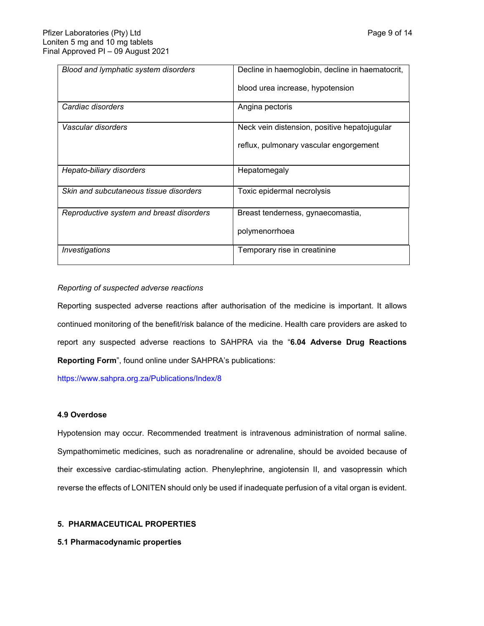| Blood and lymphatic system disorders     | Decline in haemoglobin, decline in haematocrit, |
|------------------------------------------|-------------------------------------------------|
|                                          | blood urea increase, hypotension                |
| Cardiac disorders                        | Angina pectoris                                 |
| Vascular disorders                       | Neck vein distension, positive hepatojugular    |
|                                          | reflux, pulmonary vascular engorgement          |
| Hepato-biliary disorders                 | Hepatomegaly                                    |
| Skin and subcutaneous tissue disorders   | Toxic epidermal necrolysis                      |
| Reproductive system and breast disorders | Breast tenderness, gynaecomastia,               |
|                                          | polymenorrhoea                                  |
| Investigations                           | Temporary rise in creatinine                    |

# *Reporting of suspected adverse reactions*

Reporting suspected adverse reactions after authorisation of the medicine is important. It allows continued monitoring of the benefit/risk balance of the medicine. Health care providers are asked to report any suspected adverse reactions to SAHPRA via the "**6.04 Adverse Drug Reactions Reporting Form**", found online under SAHPRA's publications:

<https://www.sahpra.org.za/Publications/Index/8>

## **4.9 Overdose**

Hypotension may occur. Recommended treatment is intravenous administration of normal saline. Sympathomimetic medicines, such as noradrenaline or adrenaline, should be avoided because of their excessive cardiac-stimulating action. Phenylephrine, angiotensin II, and vasopressin which reverse the effects of LONITEN should only be used if inadequate perfusion of a vital organ is evident.

# **5. PHARMACEUTICAL PROPERTIES**

## **5.1 Pharmacodynamic properties**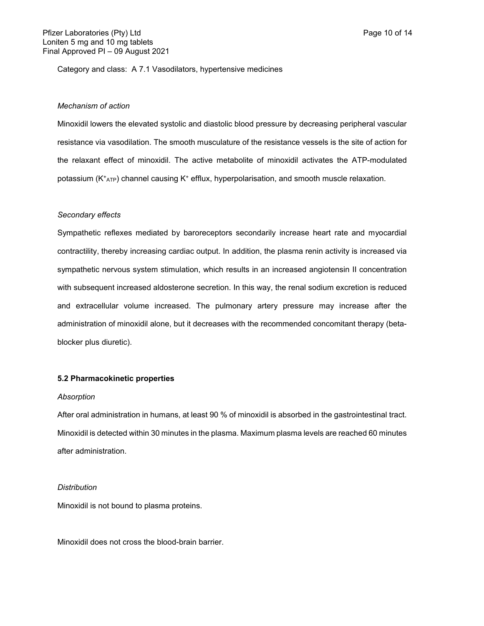Category and class: A 7.1 Vasodilators, hypertensive medicines

#### *Mechanism of action*

Minoxidil lowers the elevated systolic and diastolic blood pressure by decreasing peripheral vascular resistance via vasodilation. The smooth musculature of the resistance vessels is the site of action for the relaxant effect of minoxidil. The active metabolite of minoxidil activates the ATP-modulated potassium (K<sup>+</sup> ATP) channel causing K<sup>+</sup> efflux, hyperpolarisation, and smooth muscle relaxation.

## *Secondary effects*

Sympathetic reflexes mediated by baroreceptors secondarily increase heart rate and myocardial contractility, thereby increasing cardiac output. In addition, the plasma renin activity is increased via sympathetic nervous system stimulation, which results in an increased angiotensin II concentration with subsequent increased aldosterone secretion. In this way, the renal sodium excretion is reduced and extracellular volume increased. The pulmonary artery pressure may increase after the administration of minoxidil alone, but it decreases with the recommended concomitant therapy (betablocker plus diuretic).

#### **5.2 Pharmacokinetic properties**

#### *Absorption*

After oral administration in humans, at least 90 % of minoxidil is absorbed in the gastrointestinal tract. Minoxidil is detected within 30 minutes in the plasma. Maximum plasma levels are reached 60 minutes after administration.

#### *Distribution*

Minoxidil is not bound to plasma proteins.

Minoxidil does not cross the blood-brain barrier.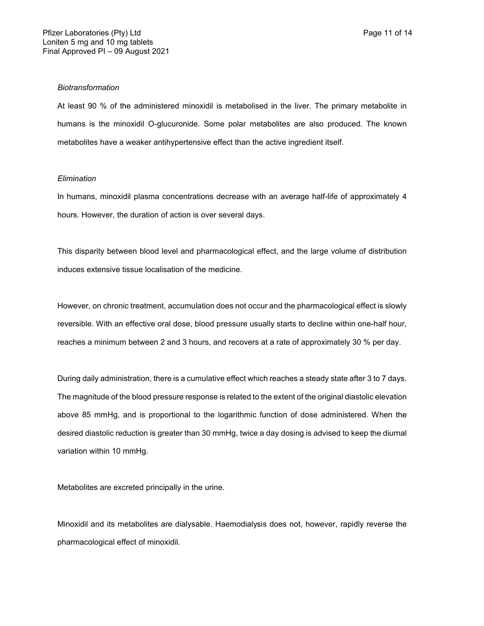## *Biotransformation*

At least 90 % of the administered minoxidil is metabolised in the liver. The primary metabolite in humans is the minoxidil O-glucuronide. Some polar metabolites are also produced. The known metabolites have a weaker antihypertensive effect than the active ingredient itself.

## *Elimination*

In humans, minoxidil plasma concentrations decrease with an average half-life of approximately 4 hours. However, the duration of action is over several days.

This disparity between blood level and pharmacological effect, and the large volume of distribution induces extensive tissue localisation of the medicine.

However, on chronic treatment, accumulation does not occur and the pharmacological effect is slowly reversible. With an effective oral dose, blood pressure usually starts to decline within one-half hour, reaches a minimum between 2 and 3 hours, and recovers at a rate of approximately 30 % per day.

During daily administration, there is a cumulative effect which reaches a steady state after 3 to 7 days. The magnitude of the blood pressure response is related to the extent of the original diastolic elevation above 85 mmHg, and is proportional to the logarithmic function of dose administered. When the desired diastolic reduction is greater than 30 mmHg, twice a day dosing is advised to keep the diurnal variation within 10 mmHg.

Metabolites are excreted principally in the urine.

Minoxidil and its metabolites are dialysable. Haemodialysis does not, however, rapidly reverse the pharmacological effect of minoxidil.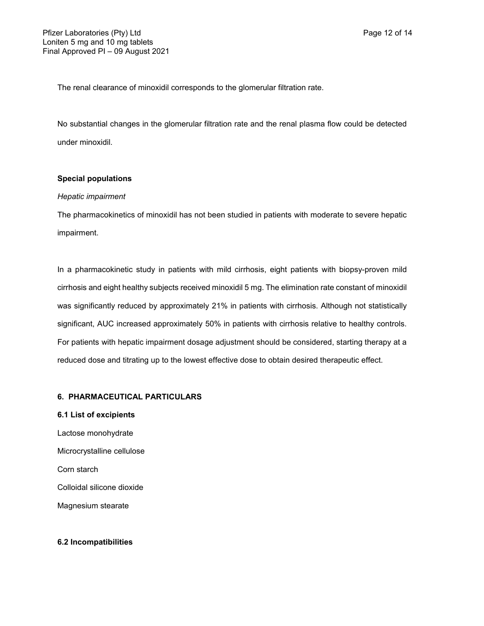The renal clearance of minoxidil corresponds to the glomerular filtration rate.

No substantial changes in the glomerular filtration rate and the renal plasma flow could be detected under minoxidil.

# **Special populations**

## *Hepatic impairment*

The pharmacokinetics of minoxidil has not been studied in patients with moderate to severe hepatic impairment.

In a pharmacokinetic study in patients with mild cirrhosis, eight patients with biopsy-proven mild cirrhosis and eight healthy subjects received minoxidil 5 mg. The elimination rate constant of minoxidil was significantly reduced by approximately 21% in patients with cirrhosis. Although not statistically significant, AUC increased approximately 50% in patients with cirrhosis relative to healthy controls. For patients with hepatic impairment dosage adjustment should be considered, starting therapy at a reduced dose and titrating up to the lowest effective dose to obtain desired therapeutic effect.

## **6. PHARMACEUTICAL PARTICULARS**

- **6.1 List of excipients**
- Lactose monohydrate Microcrystalline cellulose Corn starch Colloidal silicone dioxide Magnesium stearate

## **6.2 Incompatibilities**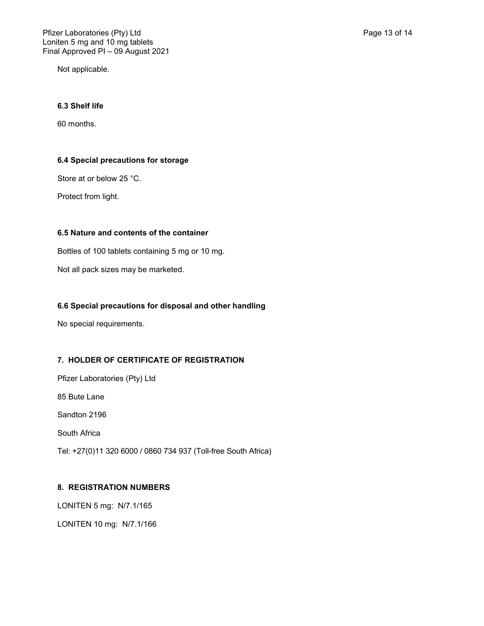Not applicable.

# **6.3 Shelf life**

60 months.

# **6.4 Special precautions for storage**

Store at or below 25 °C.

Protect from light.

# **6.5 Nature and contents of the container**

Bottles of 100 tablets containing 5 mg or 10 mg.

Not all pack sizes may be marketed.

# **6.6 Special precautions for disposal and other handling**

No special requirements.

# **7. HOLDER OF CERTIFICATE OF REGISTRATION**

Pfizer Laboratories (Pty) Ltd 85 Bute Lane Sandton 2196 South Africa Tel: +27(0)11 320 6000 / 0860 734 937 (Toll-free South Africa)

# **8. REGISTRATION NUMBERS**

LONITEN 5 mg: N/7.1/165

LONITEN 10 mg: N/7.1/166